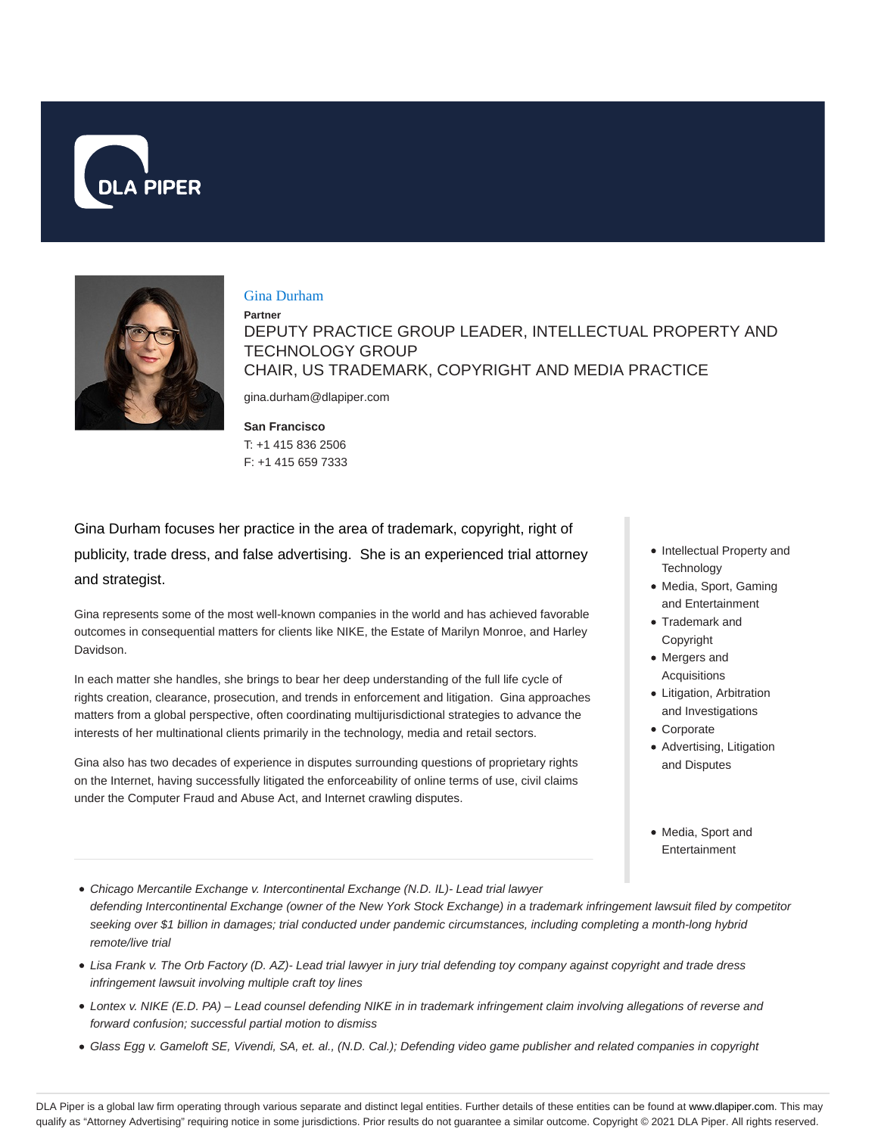



#### Gina Durham

**Partner** DEPUTY PRACTICE GROUP LEADER, INTELLECTUAL PROPERTY AND TECHNOLOGY GROUP CHAIR, US TRADEMARK, COPYRIGHT AND MEDIA PRACTICE gina.durham@dlapiper.com

**San Francisco**

T: +1 415 836 2506 F: +1 415 659 7333

Gina Durham focuses her practice in the area of trademark, copyright, right of publicity, trade dress, and false advertising. She is an experienced trial attorney and strategist.

Gina represents some of the most well-known companies in the world and has achieved favorable outcomes in consequential matters for clients like NIKE, the Estate of Marilyn Monroe, and Harley Davidson.

In each matter she handles, she brings to bear her deep understanding of the full life cycle of rights creation, clearance, prosecution, and trends in enforcement and litigation. Gina approaches matters from a global perspective, often coordinating multijurisdictional strategies to advance the interests of her multinational clients primarily in the technology, media and retail sectors.

Gina also has two decades of experience in disputes surrounding questions of proprietary rights on the Internet, having successfully litigated the enforceability of online terms of use, civil claims under the Computer Fraud and Abuse Act, and Internet crawling disputes.

- Intellectual Property and **Technology**
- Media, Sport, Gaming and Entertainment
- Trademark and Copyright
- Mergers and Acquisitions
- Litigation, Arbitration and Investigations
- Corporate
- Advertising, Litigation and Disputes
- Media, Sport and Entertainment
- Chicago Mercantile Exchange v. Intercontinental Exchange (N.D. IL)- Lead trial lawyer defending Intercontinental Exchange (owner of the New York Stock Exchange) in a trademark infringement lawsuit filed by competitor seeking over \$1 billion in damages; trial conducted under pandemic circumstances, including completing a month-long hybrid remote/live trial
- Lisa Frank v. The Orb Factory (D. AZ)- Lead trial lawyer in jury trial defending toy company against copyright and trade dress infringement lawsuit involving multiple craft toy lines
- Lontex v. NIKE (E.D. PA) Lead counsel defending NIKE in in trademark infringement claim involving allegations of reverse and forward confusion; successful partial motion to dismiss
- Glass Egg v. Gameloft SE, Vivendi, SA, et. al., (N.D. Cal.); Defending video game publisher and related companies in copyright

DLA Piper is a global law firm operating through various separate and distinct legal entities. Further details of these entities can be found at www.dlapiper.com. This may qualify as "Attorney Advertising" requiring notice in some jurisdictions. Prior results do not guarantee a similar outcome. Copyright © 2021 DLA Piper. All rights reserved.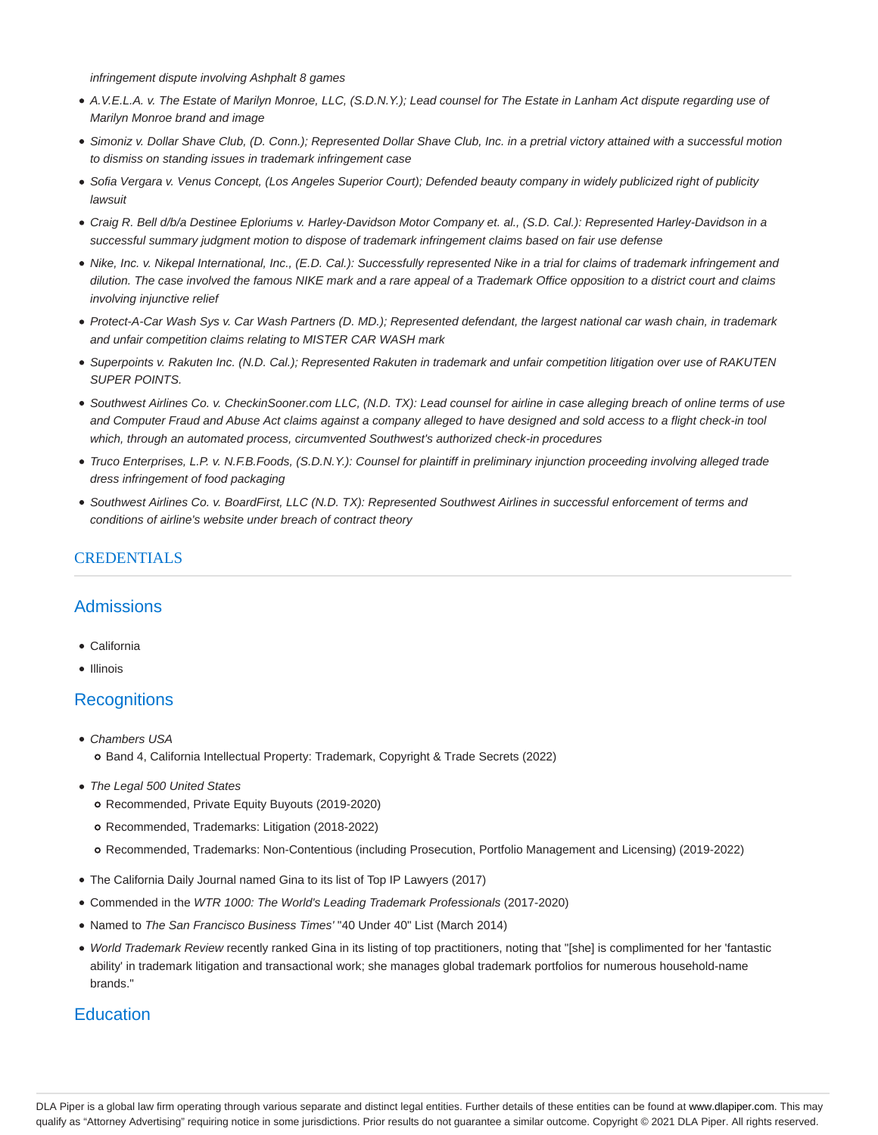infringement dispute involving Ashphalt 8 games

- A.V.E.L.A. v. The Estate of Marilyn Monroe, LLC, (S.D.N.Y.); Lead counsel for The Estate in Lanham Act dispute regarding use of Marilyn Monroe brand and image
- Simoniz v. Dollar Shave Club, (D. Conn.); Represented Dollar Shave Club, Inc. in a pretrial victory attained with a successful motion to dismiss on standing issues in trademark infringement case
- · Sofia Vergara v. Venus Concept, (Los Angeles Superior Court); Defended beauty company in widely publicized right of publicity lawsuit
- Craig R. Bell d/b/a Destinee Eploriums v. Harley-Davidson Motor Company et. al., (S.D. Cal.): Represented Harley-Davidson in a successful summary judgment motion to dispose of trademark infringement claims based on fair use defense
- Nike, Inc. v. Nikepal International, Inc., (E.D. Cal.): Successfully represented Nike in a trial for claims of trademark infringement and dilution. The case involved the famous NIKE mark and a rare appeal of a Trademark Office opposition to a district court and claims involving injunctive relief
- Protect-A-Car Wash Sys v. Car Wash Partners (D. MD.); Represented defendant, the largest national car wash chain, in trademark and unfair competition claims relating to MISTER CAR WASH mark
- Superpoints v. Rakuten Inc. (N.D. Cal.); Represented Rakuten in trademark and unfair competition litigation over use of RAKUTEN SUPER POINTS.
- Southwest Airlines Co. v. CheckinSooner.com LLC, (N.D. TX): Lead counsel for airline in case alleging breach of online terms of use and Computer Fraud and Abuse Act claims against a company alleged to have designed and sold access to a flight check-in tool which, through an automated process, circumvented Southwest's authorized check-in procedures
- Truco Enterprises, L.P. v. N.F.B.Foods, (S.D.N.Y.): Counsel for plaintiff in preliminary injunction proceeding involving alleged trade dress infringement of food packaging
- Southwest Airlines Co. v. BoardFirst, LLC (N.D. TX): Represented Southwest Airlines in successful enforcement of terms and conditions of airline's website under breach of contract theory

### **CREDENTIALS**

### **Admissions**

- California
- Illinois

### **Recognitions**

- Chambers USA o Band 4, California Intellectual Property: Trademark, Copyright & Trade Secrets (2022)
- The Legal 500 United States
	- Recommended, Private Equity Buyouts (2019-2020)
	- Recommended, Trademarks: Litigation (2018-2022)
	- Recommended, Trademarks: Non-Contentious (including Prosecution, Portfolio Management and Licensing) (2019-2022)
- The California Daily Journal named Gina to its list of Top IP Lawyers (2017)
- Commended in the WTR 1000: The World's Leading Trademark Professionals (2017-2020)
- Named to The San Francisco Business Times' "40 Under 40" List (March 2014)
- World Trademark Review recently ranked Gina in its listing of top practitioners, noting that "[she] is complimented for her 'fantastic ability' in trademark litigation and transactional work; she manages global trademark portfolios for numerous household-name brands."

### **Education**